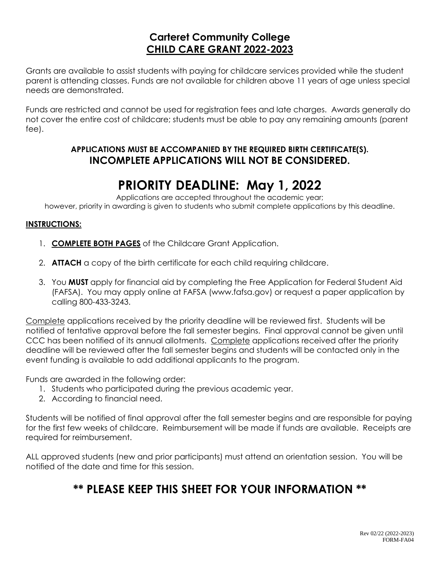# **Carteret Community College CHILD CARE GRANT 2022-2023**

Grants are available to assist students with paying for childcare services provided while the student parent is attending classes. Funds are not available for children above 11 years of age unless special needs are demonstrated.

Funds are restricted and cannot be used for registration fees and late charges. Awards generally do not cover the entire cost of childcare; students must be able to pay any remaining amounts (parent fee).

### **APPLICATIONS MUST BE ACCOMPANIED BY THE REQUIRED BIRTH CERTIFICATE(S). INCOMPLETE APPLICATIONS WILL NOT BE CONSIDERED.**

# **PRIORITY DEADLINE: May 1, 2022**

Applications are accepted throughout the academic year; however, priority in awarding is given to students who submit complete applications by this deadline.

#### **INSTRUCTIONS:**

- 1. **COMPLETE BOTH PAGES** of the Childcare Grant Application.
- 2. **ATTACH** a copy of the birth certificate for each child requiring childcare.
- 3. You **MUST** apply for financial aid by completing the Free Application for Federal Student Aid (FAFSA). You may apply online at FAFSA (www.fafsa.gov) or request a paper application by calling 800-433-3243.

Complete applications received by the priority deadline will be reviewed first. Students will be notified of tentative approval before the fall semester begins. Final approval cannot be given until CCC has been notified of its annual allotments. Complete applications received after the priority deadline will be reviewed after the fall semester begins and students will be contacted only in the event funding is available to add additional applicants to the program.

Funds are awarded in the following order:

- 1. Students who participated during the previous academic year.
- 2. According to financial need.

Students will be notified of final approval after the fall semester begins and are responsible for paying for the first few weeks of childcare. Reimbursement will be made if funds are available. Receipts are required for reimbursement.

ALL approved students (new and prior participants) must attend an orientation session. You will be notified of the date and time for this session.

# **\*\* PLEASE KEEP THIS SHEET FOR YOUR INFORMATION \*\***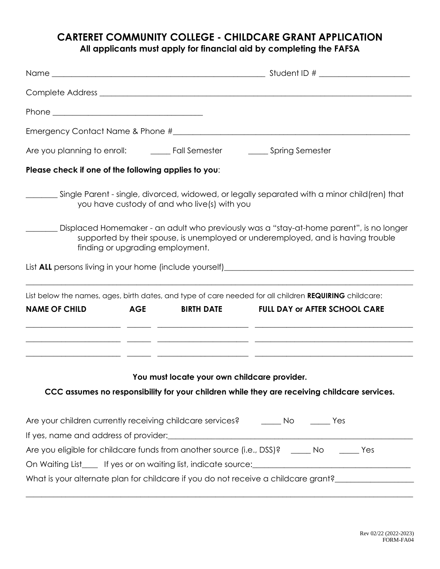# **CARTERET COMMUNITY COLLEGE - CHILDCARE GRANT APPLICATION All applicants must apply for financial aid by completing the FAFSA**

| Are you planning to enroll: Cames Fall Semester Cames Spring Semester |                                  |                                              |                                                                                                                                                                             |  |  |  |
|-----------------------------------------------------------------------|----------------------------------|----------------------------------------------|-----------------------------------------------------------------------------------------------------------------------------------------------------------------------------|--|--|--|
| Please check if one of the following applies to you:                  |                                  |                                              |                                                                                                                                                                             |  |  |  |
|                                                                       |                                  | you have custody of and who live(s) with you | Single Parent - single, divorced, widowed, or legally separated with a minor child(ren) that _______                                                                        |  |  |  |
|                                                                       | finding or upgrading employment. |                                              | Displaced Homemaker - an adult who previously was a "stay-at-home parent", is no longer<br>supported by their spouse, is unemployed or underemployed, and is having trouble |  |  |  |
|                                                                       |                                  |                                              |                                                                                                                                                                             |  |  |  |
|                                                                       |                                  |                                              | List below the names, ages, birth dates, and type of care needed for all children REQUIRING childcare:                                                                      |  |  |  |
| <b>NAME OF CHILD</b><br><b>AGE</b>                                    |                                  |                                              | BIRTH DATE FULL DAY or AFTER SCHOOL CARE                                                                                                                                    |  |  |  |
|                                                                       |                                  |                                              |                                                                                                                                                                             |  |  |  |
|                                                                       |                                  | You must locate your own childcare provider. | CCC assumes no responsibility for your children while they are receiving childcare services.                                                                                |  |  |  |
|                                                                       |                                  |                                              |                                                                                                                                                                             |  |  |  |
|                                                                       |                                  |                                              | Are your children currently receiving childcare services? _______ No ______ Yes                                                                                             |  |  |  |
|                                                                       |                                  |                                              |                                                                                                                                                                             |  |  |  |
|                                                                       |                                  |                                              | Are you eligible for childcare funds from another source (i.e., DSS)? _____ No ______ Yes                                                                                   |  |  |  |
|                                                                       |                                  |                                              |                                                                                                                                                                             |  |  |  |
|                                                                       |                                  |                                              | What is your alternate plan for childcare if you do not receive a childcare grant?                                                                                          |  |  |  |
|                                                                       |                                  |                                              |                                                                                                                                                                             |  |  |  |